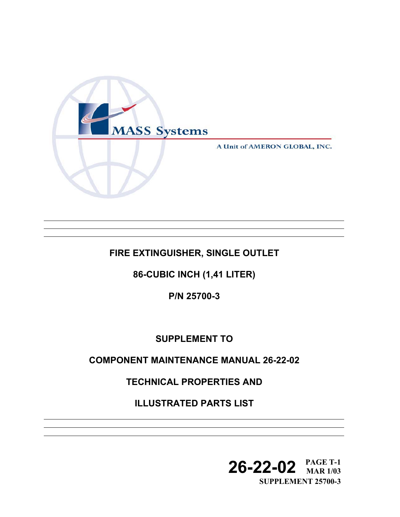

**FIRE EXTINGUISHER, SINGLE OUTLET** 

**86-CUBIC INCH (1,41 LITER)** 

**P/N 25700-3** 

**SUPPLEMENT TO** 

**COMPONENT MAINTENANCE MANUAL 26-22-02** 

**TECHNICAL PROPERTIES AND** 

**ILLUSTRATED PARTS LIST** 

**26-22-02 PAGE T-1 MAR 1/03 SUPPLEMENT 25700-3**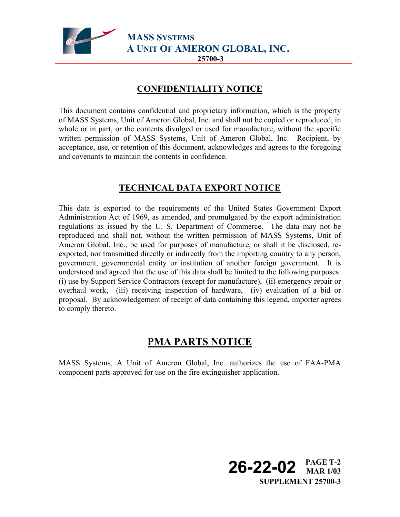

#### **CONFIDENTIALITY NOTICE**

This document contains confidential and proprietary information, which is the property of MASS Systems, Unit of Ameron Global, Inc. and shall not be copied or reproduced, in whole or in part, or the contents divulged or used for manufacture, without the specific written permission of MASS Systems, Unit of Ameron Global, Inc. Recipient, by acceptance, use, or retention of this document, acknowledges and agrees to the foregoing and covenants to maintain the contents in confidence.

#### **TECHNICAL DATA EXPORT NOTICE**

This data is exported to the requirements of the United States Government Export Administration Act of 1969, as amended, and promulgated by the export administration regulations as issued by the U. S. Department of Commerce. The data may not be reproduced and shall not, without the written permission of MASS Systems, Unit of Ameron Global, Inc., be used for purposes of manufacture, or shall it be disclosed, reexported, nor transmitted directly or indirectly from the importing country to any person, government, governmental entity or institution of another foreign government. It is understood and agreed that the use of this data shall be limited to the following purposes: (i) use by Support Service Contractors (except for manufacture), (ii) emergency repair or overhaul work, (iii) receiving inspection of hardware, (iv) evaluation of a bid or proposal. By acknowledgement of receipt of data containing this legend, importer agrees to comply thereto.

#### **PMA PARTS NOTICE**

MASS Systems, A Unit of Ameron Global, Inc. authorizes the use of FAA-PMA component parts approved for use on the fire extinguisher application.

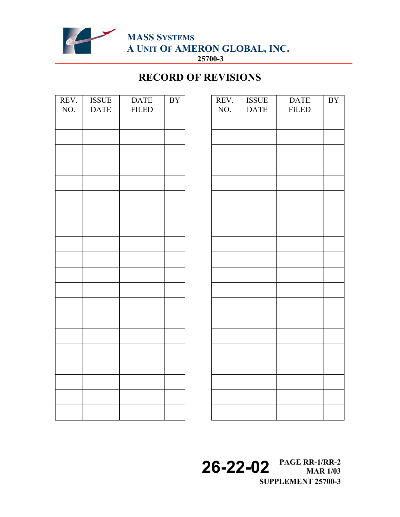

**25700-3**

#### **RECORD OF REVISIONS**

| REV. | <b>ISSUE</b> | <b>DATE</b>  | $\overline{BY}$ |
|------|--------------|--------------|-----------------|
| NO.  | <b>DATE</b>  | <b>FILED</b> |                 |
|      |              |              |                 |
|      |              |              |                 |
|      |              |              |                 |
|      |              |              |                 |
|      |              |              |                 |
|      |              |              |                 |
|      |              |              |                 |
|      |              |              |                 |
|      |              |              |                 |
|      |              |              |                 |
|      |              |              |                 |
|      |              |              |                 |
|      |              |              |                 |
|      |              |              |                 |
|      |              |              |                 |
|      |              |              |                 |
|      |              |              |                 |
|      |              |              |                 |
|      |              |              |                 |
|      |              |              |                 |
|      |              |              |                 |
|      |              |              |                 |
|      |              |              |                 |
|      |              |              |                 |
|      |              |              |                 |
|      |              |              |                 |
|      |              |              |                 |

| $\overline{\text{BY}}$ | REV. | <b>ISSUE</b> | <b>DATE</b>  | $\overline{\rm BY}$ |
|------------------------|------|--------------|--------------|---------------------|
|                        | NO.  | <b>DATE</b>  | <b>FILED</b> |                     |
|                        |      |              |              |                     |
|                        |      |              |              |                     |
|                        |      |              |              |                     |
|                        |      |              |              |                     |
|                        |      |              |              |                     |
|                        |      |              |              |                     |
|                        |      |              |              |                     |
|                        |      |              |              |                     |
|                        |      |              |              |                     |
|                        |      |              |              |                     |
|                        |      |              |              |                     |
|                        |      |              |              |                     |
|                        |      |              |              |                     |
|                        |      |              |              |                     |
|                        |      |              |              |                     |
|                        |      |              |              |                     |
|                        |      |              |              |                     |
|                        |      |              |              |                     |
|                        |      |              |              |                     |
|                        |      |              |              |                     |
|                        |      |              |              |                     |
|                        |      |              |              |                     |
|                        |      |              |              |                     |
|                        |      |              |              |                     |
|                        |      |              |              |                     |
|                        |      |              |              |                     |
|                        |      |              |              |                     |
|                        |      |              |              |                     |
|                        |      |              |              |                     |
|                        |      |              |              |                     |
|                        |      |              |              |                     |
|                        |      |              |              |                     |
|                        |      |              |              |                     |
|                        |      |              |              |                     |
|                        |      |              |              |                     |
|                        |      |              |              |                     |
|                        |      |              |              |                     |
|                        |      |              |              |                     |
|                        |      |              |              |                     |
|                        |      |              |              |                     |
|                        |      |              |              |                     |
|                        |      |              |              |                     |
|                        |      |              |              |                     |

**26-22-02 PAGE RR-1/RR-2 MAR 1/03 SUPPLEMENT 25700-3**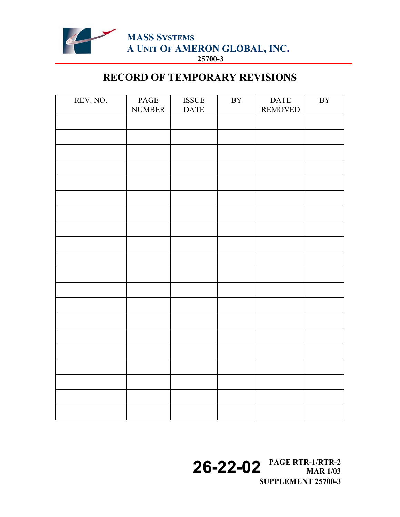

#### **RECORD OF TEMPORARY REVISIONS**

| REV. NO. | $\overline{\mathsf{PAGE}}$<br><b>NUMBER</b> | <b>ISSUE</b><br><b>DATE</b> | $\rm BY$ | <b>DATE</b><br><b>REMOVED</b> | $\rm BY$ |
|----------|---------------------------------------------|-----------------------------|----------|-------------------------------|----------|
|          |                                             |                             |          |                               |          |
|          |                                             |                             |          |                               |          |
|          |                                             |                             |          |                               |          |
|          |                                             |                             |          |                               |          |
|          |                                             |                             |          |                               |          |
|          |                                             |                             |          |                               |          |
|          |                                             |                             |          |                               |          |
|          |                                             |                             |          |                               |          |
|          |                                             |                             |          |                               |          |
|          |                                             |                             |          |                               |          |
|          |                                             |                             |          |                               |          |
|          |                                             |                             |          |                               |          |
|          |                                             |                             |          |                               |          |
|          |                                             |                             |          |                               |          |
|          |                                             |                             |          |                               |          |
|          |                                             |                             |          |                               |          |
|          |                                             |                             |          |                               |          |
|          |                                             |                             |          |                               |          |
|          |                                             |                             |          |                               |          |
|          |                                             |                             |          |                               |          |

**26-22-02 PAGE RTR-1/RTR-2 MAR 1/03 SUPPLEMENT 25700-3**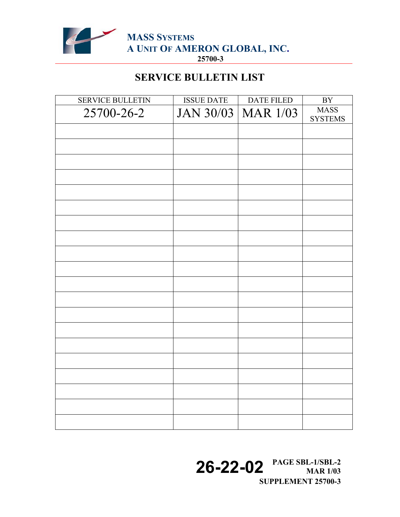

**25700-3**

# **SERVICE BULLETIN LIST**

| <b>SERVICE BULLETIN</b> | <b>ISSUE DATE</b> | <b>DATE FILED</b> | $\rm BY$                      |
|-------------------------|-------------------|-------------------|-------------------------------|
| 25700-26-2              | JAN 30/03         | <b>MAR 1/03</b>   | <b>MASS</b><br><b>SYSTEMS</b> |
|                         |                   |                   |                               |
|                         |                   |                   |                               |
|                         |                   |                   |                               |
|                         |                   |                   |                               |
|                         |                   |                   |                               |
|                         |                   |                   |                               |
|                         |                   |                   |                               |
|                         |                   |                   |                               |
|                         |                   |                   |                               |
|                         |                   |                   |                               |
|                         |                   |                   |                               |
|                         |                   |                   |                               |
|                         |                   |                   |                               |
|                         |                   |                   |                               |
|                         |                   |                   |                               |
|                         |                   |                   |                               |
|                         |                   |                   |                               |
|                         |                   |                   |                               |
|                         |                   |                   |                               |
|                         |                   |                   |                               |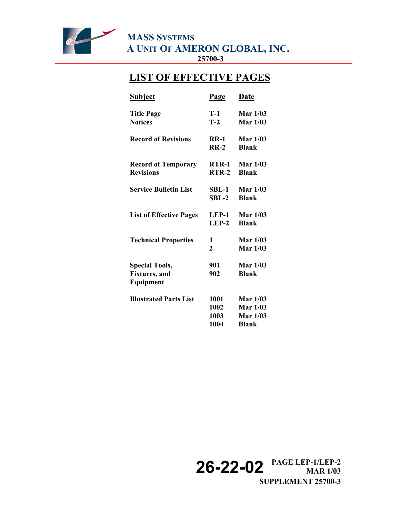

**MASS SYSTEMS A UNIT OF AMERON GLOBAL, INC.**

**25700-3**

## **LIST OF EFFECTIVE PAGES**

| <b>Subject</b>                                              | Page                         | Date                                                                  |
|-------------------------------------------------------------|------------------------------|-----------------------------------------------------------------------|
| <b>Title Page</b><br><b>Notices</b>                         | <b>T-1</b><br>$T-2$          | <b>Mar 1/03</b><br><b>Mar 1/03</b>                                    |
| <b>Record of Revisions</b>                                  | <b>RR-1</b><br>$RR-2$        | <b>Mar 1/03</b><br><b>Blank</b>                                       |
| <b>Record of Temporary</b><br><b>Revisions</b>              | $RTR-1$<br>$RTR-2$           | <b>Mar 1/03</b><br><b>Blank</b>                                       |
| <b>Service Bulletin List</b>                                | SBL-1<br>$SBL-2$             | <b>Mar 1/03</b><br><b>Blank</b>                                       |
| <b>List of Effective Pages</b>                              | LEP-1<br>$LEP-2$             | <b>Mar 1/03</b><br><b>Blank</b>                                       |
| <b>Technical Properties</b>                                 | 1<br>$\overline{2}$          | <b>Mar 1/03</b><br><b>Mar 1/03</b>                                    |
| <b>Special Tools,</b><br><b>Fixtures</b> , and<br>Equipment | 901<br>902                   | <b>Mar 1/03</b><br><b>Blank</b>                                       |
| <b>Illustrated Parts List</b>                               | 1001<br>1002<br>1003<br>1004 | <b>Mar 1/03</b><br><b>Mar 1/03</b><br><b>Mar 1/03</b><br><b>Blank</b> |

**26-22-02 PAGE LEP-1/LEP-2 MAR 1/03 SUPPLEMENT 25700-3**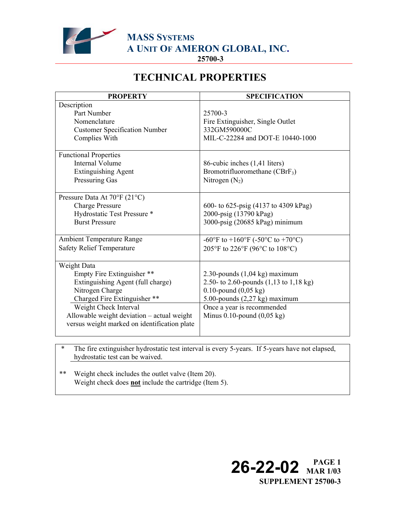

## **TECHNICAL PROPERTIES**

| <b>PROPERTY</b>                                                                                                                                                                                                                                          | <b>SPECIFICATION</b>                                                                                                                                                                                                                       |
|----------------------------------------------------------------------------------------------------------------------------------------------------------------------------------------------------------------------------------------------------------|--------------------------------------------------------------------------------------------------------------------------------------------------------------------------------------------------------------------------------------------|
| Description<br>Part Number<br>Nomenclature<br><b>Customer Specification Number</b><br>Complies With                                                                                                                                                      | 25700-3<br>Fire Extinguisher, Single Outlet<br>332GM590000C<br>MIL-C-22284 and DOT-E 10440-1000                                                                                                                                            |
| <b>Functional Properties</b><br>Internal Volume<br><b>Extinguishing Agent</b><br>Pressuring Gas                                                                                                                                                          | 86-cubic inches (1,41 liters)<br>Bromotrifluoromethane (CBrF <sub>3</sub> )<br>Nitrogen $(N_2)$                                                                                                                                            |
| Pressure Data At $70^{\circ}$ F (21°C)<br><b>Charge Pressure</b><br>Hydrostatic Test Pressure *<br><b>Burst Pressure</b>                                                                                                                                 | 600- to 625-psig (4137 to 4309 kPag)<br>2000-psig (13790 kPag)<br>3000-psig (20685 kPag) minimum                                                                                                                                           |
| <b>Ambient Temperature Range</b><br><b>Safety Relief Temperature</b>                                                                                                                                                                                     | -60°F to +160°F (-50°C to +70°C)<br>205°F to 226°F (96°C to 108°C)                                                                                                                                                                         |
| Weight Data<br>Empty Fire Extinguisher **<br>Extinguishing Agent (full charge)<br>Nitrogen Charge<br>Charged Fire Extinguisher **<br>Weight Check Interval<br>Allowable weight deviation - actual weight<br>versus weight marked on identification plate | 2.30-pounds $(1,04 \text{ kg})$ maximum<br>2.50- to 2.60-pounds (1,13 to 1,18 kg)<br>$0.10$ -pound $(0.05 \text{ kg})$<br>5.00-pounds $(2,27 \text{ kg})$ maximum<br>Once a year is recommended<br>Minus $0.10$ -pound $(0.05 \text{ kg})$ |

\* The fire extinguisher hydrostatic test interval is every 5-years. If 5-years have not elapsed, hydrostatic test can be waived.

\*\* Weight check includes the outlet valve (Item 20). Weight check does **not** include the cartridge (Item 5).

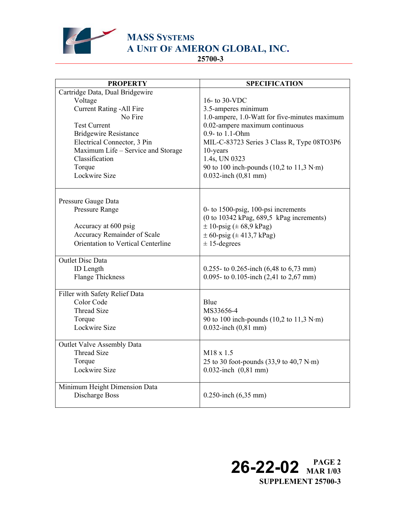

## **MASS SYSTEMS A UNIT OF AMERON GLOBAL, INC.**

**25700-3**

| <b>PROPERTY</b>                    | <b>SPECIFICATION</b>                                                   |
|------------------------------------|------------------------------------------------------------------------|
| Cartridge Data, Dual Bridgewire    |                                                                        |
| Voltage                            | 16- to 30-VDC                                                          |
| <b>Current Rating -All Fire</b>    | 3.5-amperes minimum                                                    |
| No Fire                            | 1.0-ampere, 1.0-Watt for five-minutes maximum                          |
| <b>Test Current</b>                | 0.02-ampere maximum continuous                                         |
| <b>Bridgewire Resistance</b>       | 0.9- to 1.1-Ohm                                                        |
| Electrical Connector, 3 Pin        | MIL-C-83723 Series 3 Class R, Type 08TO3P6                             |
| Maximum Life - Service and Storage | 10-years                                                               |
| Classification                     | 1.4s, UN 0323                                                          |
| Torque                             | 90 to 100 inch-pounds (10,2 to 11,3 N·m)                               |
| Lockwire Size                      | $0.032$ -inch $(0.81$ mm)                                              |
|                                    |                                                                        |
|                                    |                                                                        |
| Pressure Gauge Data                |                                                                        |
| Pressure Range                     | 0- to 1500-psig, 100-psi increments                                    |
|                                    | $(0 to 10342 kPag, 689, 5 kPag increments)$                            |
| Accuracy at 600 psig               | $\pm$ 10-psig ( $\pm$ 68,9 kPag)                                       |
| Accuracy Remainder of Scale        | $\pm 60$ -psig ( $\pm 413,7$ kPag)                                     |
| Orientation to Vertical Centerline | $\pm$ 15-degrees                                                       |
| Outlet Disc Data                   |                                                                        |
| ID Length                          | 0.255- to 0.265-inch $(6,48 \text{ to } 6,73 \text{ mm})$              |
| <b>Flange Thickness</b>            | 0.095- to 0.105-inch $(2,41$ to 2,67 mm)                               |
|                                    |                                                                        |
| Filler with Safety Relief Data     |                                                                        |
| Color Code                         | Blue                                                                   |
| <b>Thread Size</b>                 | MS33656-4                                                              |
| Torque                             | 90 to 100 inch-pounds $(10,2 \text{ to } 11,3 \text{ N}\cdot\text{m})$ |
| Lockwire Size                      | $0.032$ -inch $(0, 81$ mm)                                             |
|                                    |                                                                        |
| Outlet Valve Assembly Data         |                                                                        |
| Thread Size                        | M18 x 1.5                                                              |
| Torque                             | 25 to 30 foot-pounds $(33,9 \text{ to } 40,7 \text{ N}\cdot\text{m})$  |
| Lockwire Size                      | $0.032$ -inch $(0, 81$ mm)                                             |
| Minimum Height Dimension Data      |                                                                        |
| Discharge Boss                     | $0.250$ -inch $(6,35$ mm)                                              |
|                                    |                                                                        |

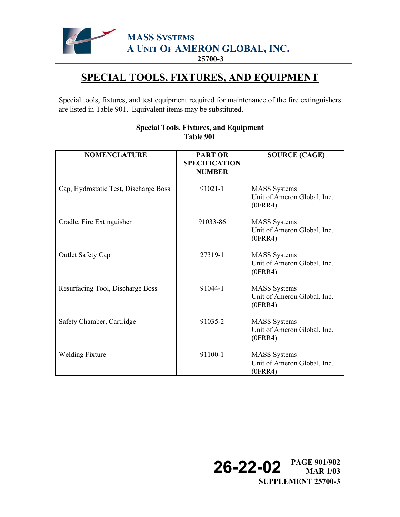

#### **SPECIAL TOOLS, FIXTURES, AND EQUIPMENT**

Special tools, fixtures, and test equipment required for maintenance of the fire extinguishers are listed in Table 901. Equivalent items may be substituted.

| <b>NOMENCLATURE</b>                   | <b>PART OR</b><br><b>SPECIFICATION</b><br><b>NUMBER</b> | <b>SOURCE (CAGE)</b>                                                |
|---------------------------------------|---------------------------------------------------------|---------------------------------------------------------------------|
| Cap, Hydrostatic Test, Discharge Boss | 91021-1                                                 | <b>MASS</b> Systems<br>Unit of Ameron Global, Inc.<br>$(0$ FRR4 $)$ |
| Cradle, Fire Extinguisher             | 91033-86                                                | <b>MASS</b> Systems<br>Unit of Ameron Global, Inc.<br>$(0$ FRR4 $)$ |
| <b>Outlet Safety Cap</b>              | 27319-1                                                 | <b>MASS</b> Systems<br>Unit of Ameron Global, Inc.<br>$(0$ FRR4 $)$ |
| Resurfacing Tool, Discharge Boss      | 91044-1                                                 | <b>MASS</b> Systems<br>Unit of Ameron Global, Inc.<br>$(0$ FRR4 $)$ |
| Safety Chamber, Cartridge             | 91035-2                                                 | <b>MASS</b> Systems<br>Unit of Ameron Global, Inc.<br>$(0$ FRR4 $)$ |
| <b>Welding Fixture</b>                | 91100-1                                                 | <b>MASS</b> Systems<br>Unit of Ameron Global, Inc.<br>$(0$ FRR4 $)$ |

#### **Special Tools, Fixtures, and Equipment Table 901**

**26-22-02 PAGE 901/902 MAR 1/03 SUPPLEMENT 25700-3**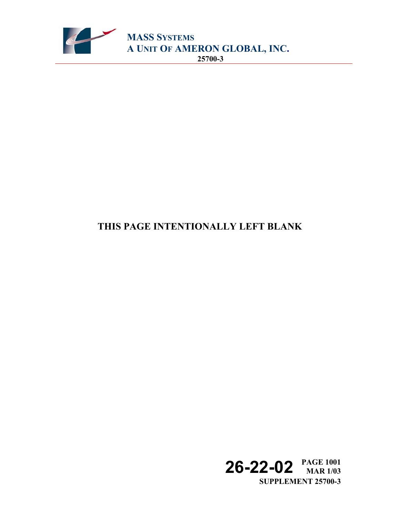

## **THIS PAGE INTENTIONALLY LEFT BLANK**

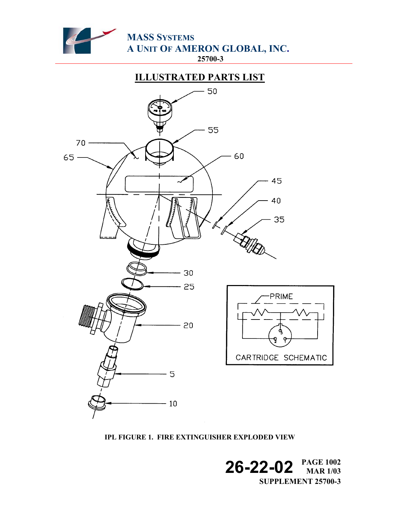

**25700-3**

**ILLUSTRATED PARTS LIST**



#### **IPL FIGURE 1. FIRE EXTINGUISHER EXPLODED VIEW**

**26-22-02 PAGE 1002 MAR 1/03 SUPPLEMENT 25700-3**